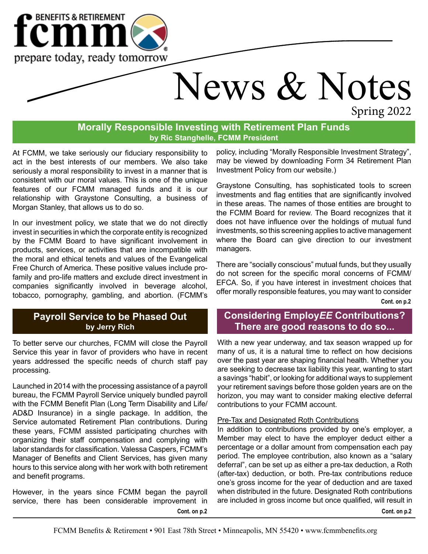

# News & Notes Spring 2022

**Morally Responsible Investing with Retirement Plan Funds by Ric Stanghelle, FCMM President**

At FCMM, we take seriously our fiduciary responsibility to act in the best interests of our members. We also take seriously a moral responsibility to invest in a manner that is consistent with our moral values. This is one of the unique features of our FCMM managed funds and it is our relationship with Graystone Consulting, a business of Morgan Stanley, that allows us to do so.

In our investment policy, we state that we do not directly invest in securities in which the corporate entity is recognized by the FCMM Board to have significant involvement in products, services, or activities that are incompatible with the moral and ethical tenets and values of the Evangelical Free Church of America. These positive values include profamily and pro-life matters and exclude direct investment in companies significantly involved in beverage alcohol, tobacco, pornography, gambling, and abortion. (FCMM's

### **Payroll Service to be Phased Out by Jerry Rich**

To better serve our churches, FCMM will close the Payroll Service this year in favor of providers who have in recent years addressed the specific needs of church staff pay processing.

Launched in 2014 with the processing assistance of a payroll bureau, the FCMM Payroll Service uniquely bundled payroll with the FCMM Benefit Plan (Long Term Disability and Life/ AD&D Insurance) in a single package. In addition, the Service automated Retirement Plan contributions. During these years, FCMM assisted participating churches with organizing their staff compensation and complying with labor standards for classification. Valessa Caspers, FCMM's Manager of Benefits and Client Services, has given many hours to this service along with her work with both retirement and benefit programs.

**Cont. on p.2** However, in the years since FCMM began the payroll service, there has been considerable improvement in

policy, including "Morally Responsible Investment Strategy", may be viewed by downloading Form 34 Retirement Plan Investment Policy from our website.)

Graystone Consulting, has sophisticated tools to screen investments and flag entities that are significantly involved in these areas. The names of those entities are brought to the FCMM Board for review. The Board recognizes that it does not have influence over the holdings of mutual fund investments, so this screening applies to active management where the Board can give direction to our investment managers.

There are "socially conscious" mutual funds, but they usually do not screen for the specific moral concerns of FCMM/ EFCA. So, if you have interest in investment choices that offer morally responsible features, you may want to consider **Cont. on p.2**

## **Considering Employ***EE* **Contributions? There are good reasons to do so...**

With a new year underway, and tax season wrapped up for many of us, it is a natural time to reflect on how decisions over the past year are shaping financial health. Whether you are seeking to decrease tax liability this year, wanting to start a savings "habit", or looking for additional ways to supplement your retirement savings before those golden years are on the horizon, you may want to consider making elective deferral contributions to your FCMM account.

#### Pre-Tax and Designated Roth Contributions

In addition to contributions provided by one's employer, a Member may elect to have the employer deduct either a percentage or a dollar amount from compensation each pay period. The employee contribution, also known as a "salary deferral", can be set up as either a pre-tax deduction, a Roth (after-tax) deduction, or both. Pre-tax contributions reduce one's gross income for the year of deduction and are taxed when distributed in the future. Designated Roth contributions are included in gross income but once qualified, will result in

**Cont. on p.2**